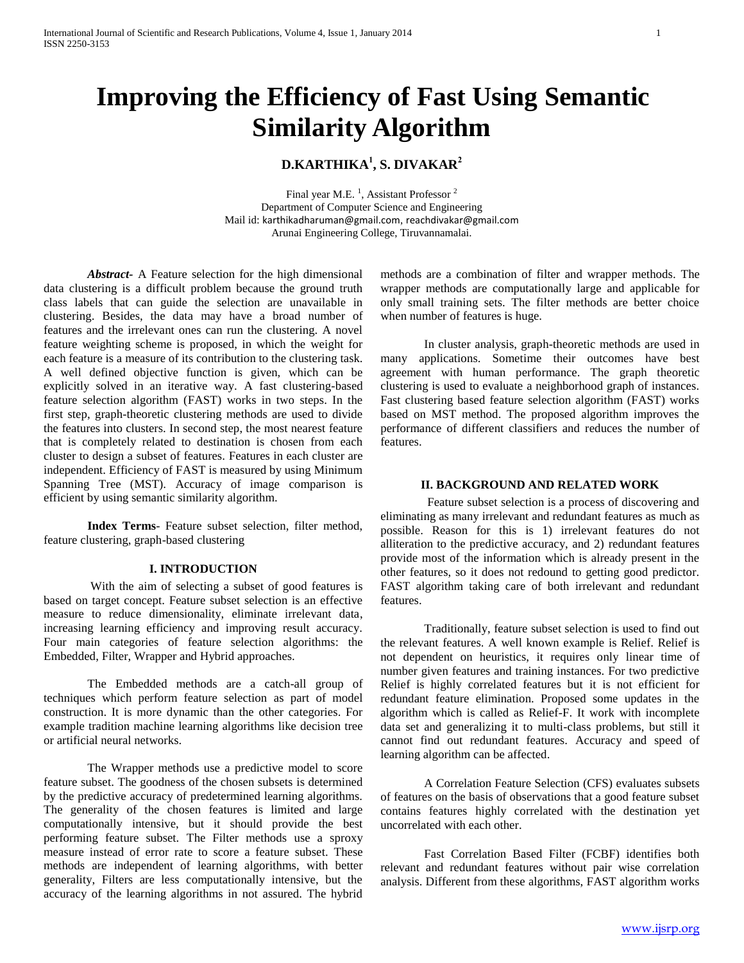# **Improving the Efficiency of Fast Using Semantic Similarity Algorithm**

# **D.KARTHIKA 1 , S. DIVAKAR<sup>2</sup>**

Final year M.E.<sup>1</sup>, Assistant Professor<sup>2</sup> Department of Computer Science and Engineering Mail id: [karthikadharuman@gmail.com](mailto:rubicse@gmail.com), [reachdivakar@gmail.com](mailto:reachdivakar@gmail.com) Arunai Engineering College, Tiruvannamalai.

*Abstract-* A Feature selection for the high dimensional data clustering is a difficult problem because the ground truth class labels that can guide the selection are unavailable in clustering. Besides, the data may have a broad number of features and the irrelevant ones can run the clustering. A novel feature weighting scheme is proposed, in which the weight for each feature is a measure of its contribution to the clustering task. A well defined objective function is given, which can be explicitly solved in an iterative way. A fast clustering-based feature selection algorithm (FAST) works in two steps. In the first step, graph-theoretic clustering methods are used to divide the features into clusters. In second step, the most nearest feature that is completely related to destination is chosen from each cluster to design a subset of features. Features in each cluster are independent. Efficiency of FAST is measured by using Minimum Spanning Tree (MST). Accuracy of image comparison is efficient by using semantic similarity algorithm.

**Index Terms**- Feature subset selection, filter method, feature clustering, graph-based clustering

# **I. INTRODUCTION**

With the aim of selecting a subset of good features is based on target concept. Feature subset selection is an effective measure to reduce dimensionality, eliminate irrelevant data, increasing learning efficiency and improving result accuracy. Four main categories of feature selection algorithms: the Embedded, Filter, Wrapper and Hybrid approaches.

The Embedded methods are a catch-all group of techniques which perform feature selection as part of model construction. It is more dynamic than the other categories. For example tradition machine learning algorithms like decision tree or artificial neural networks.

The Wrapper methods use a predictive model to score feature subset. The goodness of the chosen subsets is determined by the predictive accuracy of predetermined learning algorithms. The generality of the chosen features is limited and large computationally intensive, but it should provide the best performing feature subset. The Filter methods use a sproxy measure instead of error rate to score a feature subset. These methods are independent of learning algorithms, with better generality, Filters are less computationally intensive, but the accuracy of the learning algorithms in not assured. The hybrid

methods are a combination of filter and wrapper methods. The wrapper methods are computationally large and applicable for only small training sets. The filter methods are better choice when number of features is huge.

In cluster analysis, graph-theoretic methods are used in many applications. Sometime their outcomes have best agreement with human performance. The graph theoretic clustering is used to evaluate a neighborhood graph of instances. Fast clustering based feature selection algorithm (FAST) works based on MST method. The proposed algorithm improves the performance of different classifiers and reduces the number of features.

#### **II. BACKGROUND AND RELATED WORK**

Feature subset selection is a process of discovering and eliminating as many irrelevant and redundant features as much as possible. Reason for this is 1) irrelevant features do not alliteration to the predictive accuracy, and 2) redundant features provide most of the information which is already present in the other features, so it does not redound to getting good predictor. FAST algorithm taking care of both irrelevant and redundant features.

Traditionally, feature subset selection is used to find out the relevant features. A well known example is Relief. Relief is not dependent on heuristics, it requires only linear time of number given features and training instances. For two predictive Relief is highly correlated features but it is not efficient for redundant feature elimination. Proposed some updates in the algorithm which is called as Relief-F. It work with incomplete data set and generalizing it to multi-class problems, but still it cannot find out redundant features. Accuracy and speed of learning algorithm can be affected.

A Correlation Feature Selection (CFS) evaluates subsets of features on the basis of observations that a good feature subset contains features highly correlated with the destination yet uncorrelated with each other.

Fast Correlation Based Filter (FCBF) identifies both relevant and redundant features without pair wise correlation analysis. Different from these algorithms, FAST algorithm works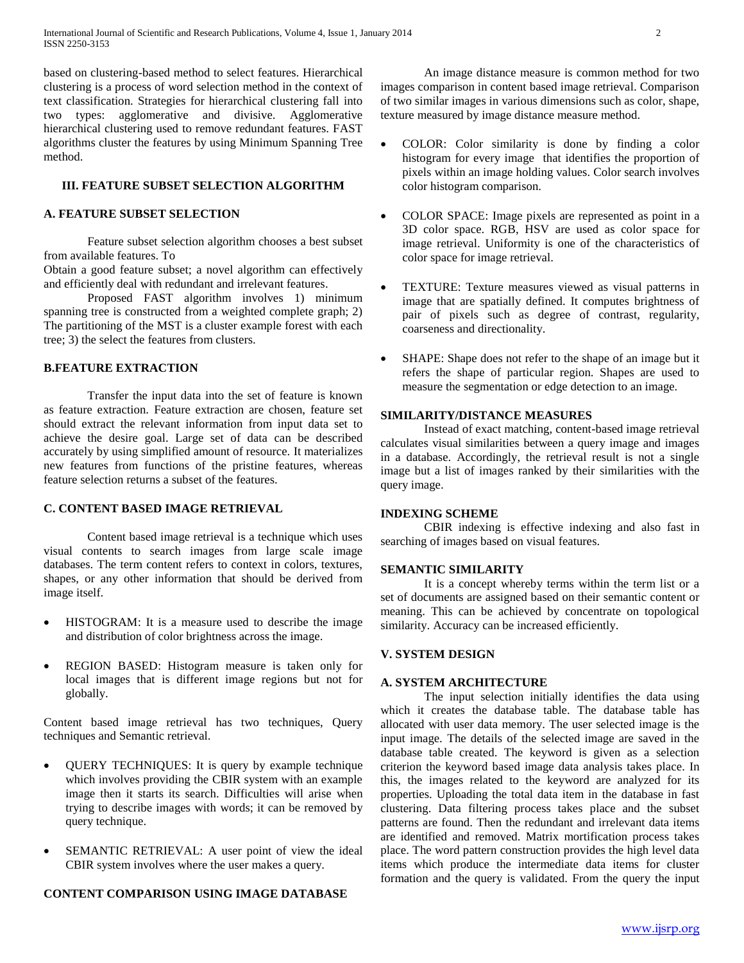based on clustering-based method to select features. Hierarchical clustering is a process of word selection method in the context of text classification. Strategies for hierarchical clustering fall into two types: agglomerative and divisive. Agglomerative hierarchical clustering used to remove redundant features. FAST algorithms cluster the features by using Minimum Spanning Tree method.

#### **III. FEATURE SUBSET SELECTION ALGORITHM**

# **A. FEATURE SUBSET SELECTION**

Feature subset selection algorithm chooses a best subset from available features. To

Obtain a good feature subset; a novel algorithm can effectively and efficiently deal with redundant and irrelevant features.

Proposed FAST algorithm involves 1) minimum spanning tree is constructed from a weighted complete graph; 2) The partitioning of the MST is a cluster example forest with each tree; 3) the select the features from clusters.

# **B.FEATURE EXTRACTION**

Transfer the input data into the set of feature is known as feature extraction. Feature extraction are chosen, feature set should extract the relevant information from input data set to achieve the desire goal. Large set of data can be described accurately by using simplified amount of resource. It materializes new features from functions of the pristine features, whereas feature selection returns a subset of the features.

# **C. CONTENT BASED IMAGE RETRIEVAL**

Content based image retrieval is a technique which uses visual contents to search images from large scale image databases. The term content refers to context in colors, textures, shapes, or any other information that should be derived from image itself.

- HISTOGRAM: It is a measure used to describe the image and distribution of color brightness across the image.
- REGION BASED: Histogram measure is taken only for local images that is different image regions but not for globally.

Content based image retrieval has two techniques, Query techniques and Semantic retrieval.

- QUERY TECHNIQUES: It is query by example technique which involves providing the CBIR system with an example image then it starts its search. Difficulties will arise when trying to describe images with words; it can be removed by query technique.
- SEMANTIC RETRIEVAL: A user point of view the ideal CBIR system involves where the user makes a query.

#### **CONTENT COMPARISON USING IMAGE DATABASE**

An image distance measure is common method for two images comparison in content based image retrieval. Comparison of two similar images in various dimensions such as color, shape, texture measured by image distance measure method.

- COLOR: Color similarity is done by finding a color histogram for every image that identifies the proportion of pixels within an image holding values. Color search involves color histogram comparison.
- COLOR SPACE: Image pixels are represented as point in a 3D color space. RGB, HSV are used as color space for image retrieval. Uniformity is one of the characteristics of color space for image retrieval.
- TEXTURE: Texture measures viewed as visual patterns in image that are spatially defined. It computes brightness of pair of pixels such as degree of contrast, regularity, coarseness and directionality.
- SHAPE: Shape does not refer to the shape of an image but it refers the shape of particular region. Shapes are used to measure the segmentation or edge detection to an image.

# **SIMILARITY/DISTANCE MEASURES**

Instead of exact matching, content-based image retrieval calculates visual similarities between a query image and images in a database. Accordingly, the retrieval result is not a single image but a list of images ranked by their similarities with the query image.

#### **INDEXING SCHEME**

CBIR indexing is effective indexing and also fast in searching of images based on visual features.

# **SEMANTIC SIMILARITY**

It is a concept whereby terms within the term list or a set of documents are assigned based on their semantic content or meaning. This can be achieved by concentrate on topological similarity. Accuracy can be increased efficiently.

#### **V. SYSTEM DESIGN**

#### **A. SYSTEM ARCHITECTURE**

The input selection initially identifies the data using which it creates the database table. The database table has allocated with user data memory. The user selected image is the input image. The details of the selected image are saved in the database table created. The keyword is given as a selection criterion the keyword based image data analysis takes place. In this, the images related to the keyword are analyzed for its properties. Uploading the total data item in the database in fast clustering. Data filtering process takes place and the subset patterns are found. Then the redundant and irrelevant data items are identified and removed. Matrix mortification process takes place. The word pattern construction provides the high level data items which produce the intermediate data items for cluster formation and the query is validated. From the query the input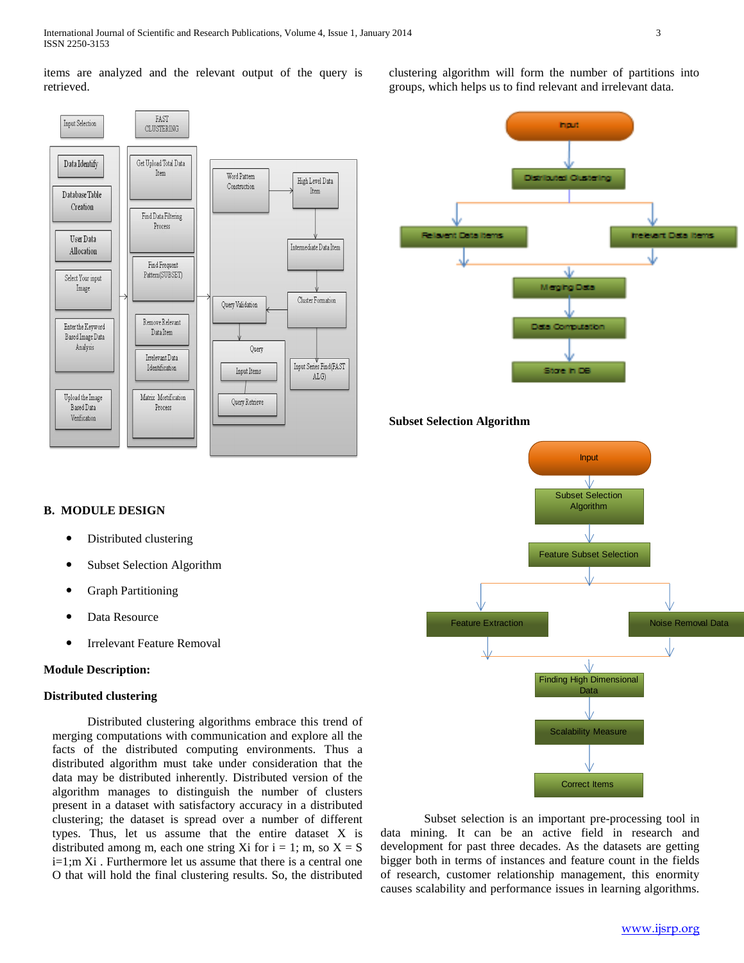items are analyzed and the relevant output of the query is retrieved.



# hput Distributed Quate Relavent Data Items Inclevent Data Items J. Mentha Data Data Co Stare in DE

#### **Subset Selection Algorithm**



- Distributed clustering
- Subset Selection Algorithm
- Graph Partitioning
- Data Resource
- Irrelevant Feature Removal

#### **Module Description:**

#### **Distributed clustering**

Distributed clustering algorithms embrace this trend of merging computations with communication and explore all the facts of the distributed computing environments. Thus a distributed algorithm must take under consideration that the data may be distributed inherently. Distributed version of the algorithm manages to distinguish the number of clusters present in a dataset with satisfactory accuracy in a distributed clustering; the dataset is spread over a number of different types. Thus, let us assume that the entire dataset X is distributed among m, each one string Xi for  $i = 1$ ; m, so  $X = S$ i=1;m Xi . Furthermore let us assume that there is a central one O that will hold the final clustering results. So, the distributed



Subset selection is an important pre-processing tool in data mining. It can be an active field in research and development for past three decades. As the datasets are getting bigger both in terms of instances and feature count in the fields of research, customer relationship management, this enormity causes scalability and performance issues in learning algorithms.

clustering algorithm will form the number of partitions into groups, which helps us to find relevant and irrelevant data.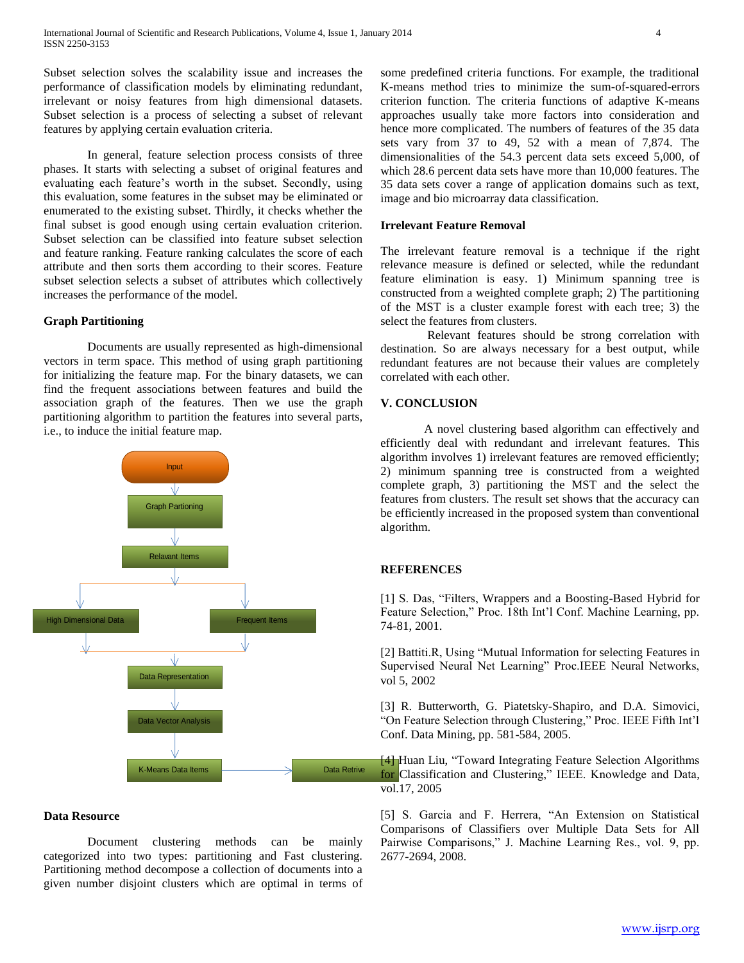Subset selection solves the scalability issue and increases the performance of classification models by eliminating redundant, irrelevant or noisy features from high dimensional datasets. Subset selection is a process of selecting a subset of relevant features by applying certain evaluation criteria.

In general, feature selection process consists of three phases. It starts with selecting a subset of original features and evaluating each feature's worth in the subset. Secondly, using this evaluation, some features in the subset may be eliminated or enumerated to the existing subset. Thirdly, it checks whether the final subset is good enough using certain evaluation criterion. Subset selection can be classified into feature subset selection and feature ranking. Feature ranking calculates the score of each attribute and then sorts them according to their scores. Feature subset selection selects a subset of attributes which collectively increases the performance of the model.

# **Graph Partitioning**

Documents are usually represented as high-dimensional vectors in term space. This method of using graph partitioning for initializing the feature map. For the binary datasets, we can find the frequent associations between features and build the association graph of the features. Then we use the graph partitioning algorithm to partition the features into several parts, i.e., to induce the initial feature map.



# **Data Resource**

Document clustering methods can be mainly categorized into two types: partitioning and Fast clustering. Partitioning method decompose a collection of documents into a given number disjoint clusters which are optimal in terms of some predefined criteria functions. For example, the traditional K-means method tries to minimize the sum-of-squared-errors criterion function. The criteria functions of adaptive K-means approaches usually take more factors into consideration and hence more complicated. The numbers of features of the 35 data sets vary from 37 to 49, 52 with a mean of 7,874. The dimensionalities of the 54.3 percent data sets exceed 5,000, of which 28.6 percent data sets have more than 10,000 features. The 35 data sets cover a range of application domains such as text, image and bio microarray data classification.

#### **Irrelevant Feature Removal**

The irrelevant feature removal is a technique if the right relevance measure is defined or selected, while the redundant feature elimination is easy. 1) Minimum spanning tree is constructed from a weighted complete graph; 2) The partitioning of the MST is a cluster example forest with each tree; 3) the select the features from clusters.

Relevant features should be strong correlation with destination. So are always necessary for a best output, while redundant features are not because their values are completely correlated with each other.

# **V. CONCLUSION**

A novel clustering based algorithm can effectively and efficiently deal with redundant and irrelevant features. This algorithm involves 1) irrelevant features are removed efficiently; 2) minimum spanning tree is constructed from a weighted complete graph, 3) partitioning the MST and the select the features from clusters. The result set shows that the accuracy can be efficiently increased in the proposed system than conventional algorithm.

# **REFERENCES**

[1] S. Das, "Filters, Wrappers and a Boosting-Based Hybrid for Feature Selection," Proc. 18th Int'l Conf. Machine Learning, pp. 74-81, 2001.

[2] Battiti.R, Using "Mutual Information for selecting Features in Supervised Neural Net Learning" Proc.IEEE Neural Networks, vol 5, 2002

[3] R. Butterworth, G. Piatetsky-Shapiro, and D.A. Simovici, "On Feature Selection through Clustering," Proc. IEEE Fifth Int'l Conf. Data Mining, pp. 581-584, 2005.

[4] Huan Liu, "Toward Integrating Feature Selection Algorithms for Classification and Clustering," IEEE. Knowledge and Data, vol.17, 2005

[5] S. Garcia and F. Herrera, "An Extension on Statistical Comparisons of Classifiers over Multiple Data Sets for All Pairwise Comparisons," J. Machine Learning Res., vol. 9, pp. 2677-2694, 2008.